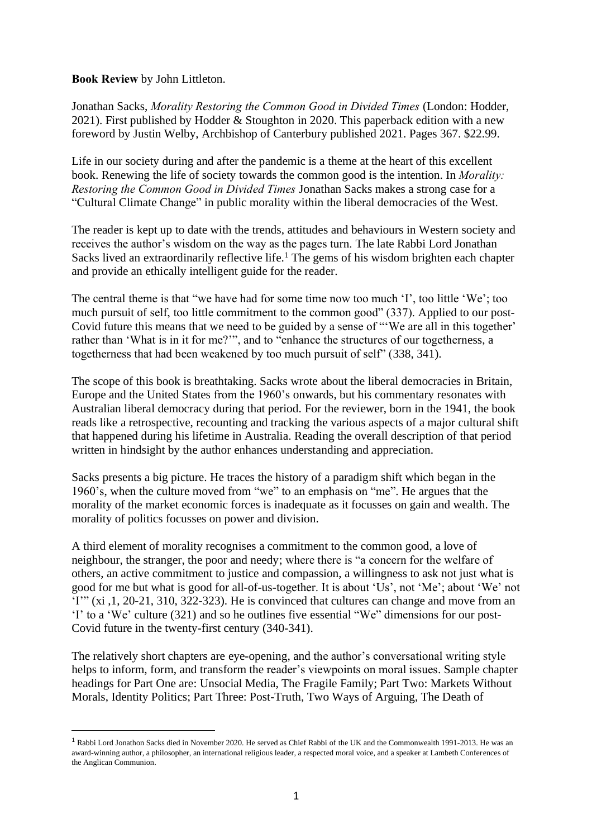## **Book Review** by John Littleton.

Jonathan Sacks, *Morality Restoring the Common Good in Divided Times* (London: Hodder, 2021). First published by Hodder & Stoughton in 2020. This paperback edition with a new foreword by Justin Welby, Archbishop of Canterbury published 2021. Pages 367. \$22.99.

Life in our society during and after the pandemic is a theme at the heart of this excellent book. Renewing the life of society towards the common good is the intention. In *Morality: Restoring the Common Good in Divided Times* Jonathan Sacks makes a strong case for a "Cultural Climate Change" in public morality within the liberal democracies of the West.

The reader is kept up to date with the trends, attitudes and behaviours in Western society and receives the author's wisdom on the way as the pages turn. The late Rabbi Lord Jonathan Sacks lived an extraordinarily reflective life.<sup>1</sup> The gems of his wisdom brighten each chapter and provide an ethically intelligent guide for the reader.

The central theme is that "we have had for some time now too much 'I', too little 'We'; too much pursuit of self, too little commitment to the common good" (337). Applied to our post-Covid future this means that we need to be guided by a sense of "'We are all in this together' rather than 'What is in it for me?'", and to "enhance the structures of our togetherness, a togetherness that had been weakened by too much pursuit of self" (338, 341).

The scope of this book is breathtaking. Sacks wrote about the liberal democracies in Britain, Europe and the United States from the 1960's onwards, but his commentary resonates with Australian liberal democracy during that period. For the reviewer, born in the 1941, the book reads like a retrospective, recounting and tracking the various aspects of a major cultural shift that happened during his lifetime in Australia. Reading the overall description of that period written in hindsight by the author enhances understanding and appreciation.

Sacks presents a big picture. He traces the history of a paradigm shift which began in the 1960's, when the culture moved from "we" to an emphasis on "me". He argues that the morality of the market economic forces is inadequate as it focusses on gain and wealth. The morality of politics focusses on power and division.

A third element of morality recognises a commitment to the common good, a love of neighbour, the stranger, the poor and needy; where there is "a concern for the welfare of others, an active commitment to justice and compassion, a willingness to ask not just what is good for me but what is good for all-of-us-together. It is about 'Us', not 'Me'; about 'We' not 'I'" (xi ,1, 20-21, 310, 322-323). He is convinced that cultures can change and move from an 'I' to a 'We' culture (321) and so he outlines five essential "We" dimensions for our post-Covid future in the twenty-first century (340-341).

The relatively short chapters are eye-opening, and the author's conversational writing style helps to inform, form, and transform the reader's viewpoints on moral issues. Sample chapter headings for Part One are: Unsocial Media, The Fragile Family; Part Two: Markets Without Morals, Identity Politics; Part Three: Post-Truth, Two Ways of Arguing, The Death of

<sup>1</sup> Rabbi Lord Jonathon Sacks died in November 2020. He served as Chief Rabbi of the UK and the Commonwealth 1991-2013. He was an award-winning author, a philosopher, an international religious leader, a respected moral voice, and a speaker at Lambeth Conferences of the Anglican Communion.